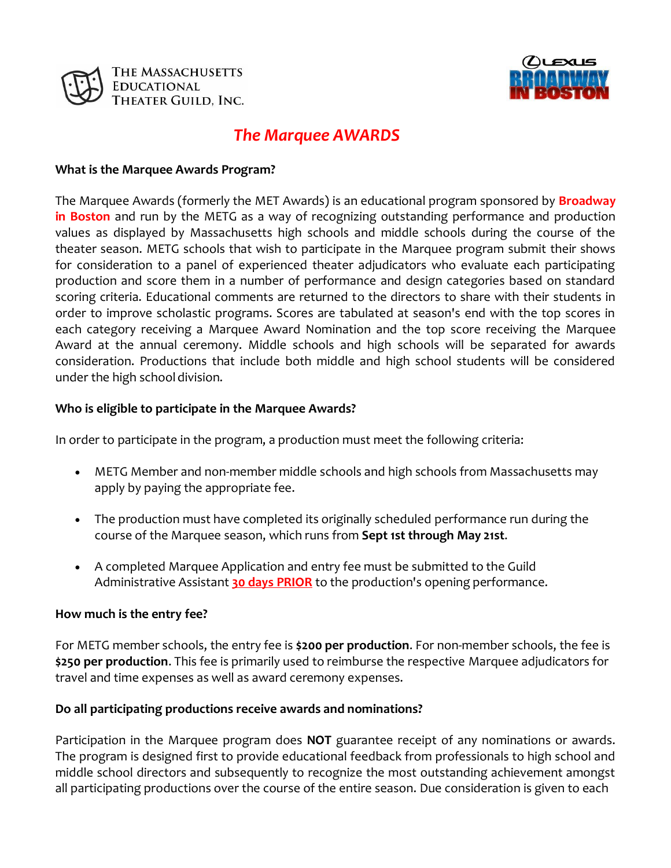



# *The Marquee AWARDS*

#### **What is the Marquee Awards Program?**

The Marquee Awards (formerly the MET Awards) is an educational program sponsored by **Broadway in Boston** and run by the METG as a way of recognizing outstanding performance and production values as displayed by Massachusetts high schools and middle schools during the course of the theater season. METG schools that wish to participate in the Marquee program submit their shows for consideration to a panel of experienced theater adjudicators who evaluate each participating production and score them in a number of performance and design categories based on standard scoring criteria. Educational comments are returned to the directors to share with their students in order to improve scholastic programs. Scores are tabulated at season's end with the top scores in each category receiving a Marquee Award Nomination and the top score receiving the Marquee Award at the annual ceremony. Middle schools and high schools will be separated for awards consideration. Productions that include both middle and high school students will be considered under the high school division.

#### **Who is eligible to participate in the Marquee Awards?**

In order to participate in the program, a production must meet the following criteria:

- METG Member and non-member middle schools and high schools from Massachusetts may apply by paying the appropriate fee.
- The production must have completed its originally scheduled performance run during the course of the Marquee season, which runs from **Sept 1st through May 21st**.
- A completed Marquee Application and entry fee must be submitted to the Guild Administrative Assistant **30 days PRIOR** to the production's opening performance.

## **How much is the entry fee?**

For METG member schools, the entry fee is **\$200 per production**. For non‐member schools, the fee is **\$250 per production**. This fee is primarily used to reimburse the respective Marquee adjudicators for travel and time expenses as well as award ceremony expenses.

## **Do all participating productions receive awards and nominations?**

Participation in the Marquee program does **NOT** guarantee receipt of any nominations or awards. The program is designed first to provide educational feedback from professionals to high school and middle school directors and subsequently to recognize the most outstanding achievement amongst all participating productions over the course of the entire season. Due consideration is given to each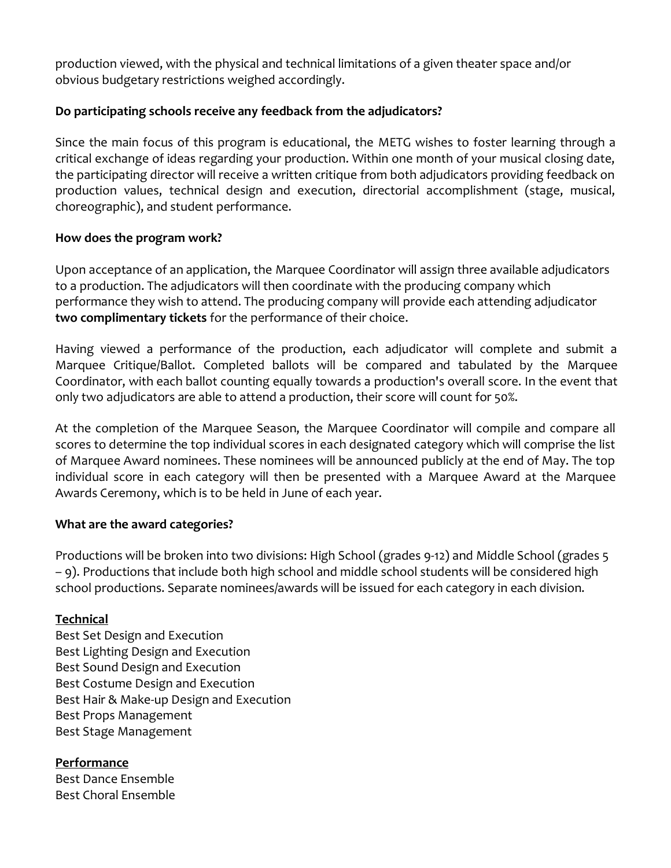production viewed, with the physical and technical limitations of a given theater space and/or obvious budgetary restrictions weighed accordingly.

## **Do participating schools receive any feedback from the adjudicators?**

Since the main focus of this program is educational, the METG wishes to foster learning through a critical exchange of ideas regarding your production. Within one month of your musical closing date, the participating director will receive a written critique from both adjudicators providing feedback on production values, technical design and execution, directorial accomplishment (stage, musical, choreographic), and student performance.

## **How does the program work?**

Upon acceptance of an application, the Marquee Coordinator will assign three available adjudicators to a production. The adjudicators will then coordinate with the producing company which performance they wish to attend. The producing company will provide each attending adjudicator **two complimentary tickets** for the performance of their choice.

Having viewed a performance of the production, each adjudicator will complete and submit a Marquee Critique/Ballot. Completed ballots will be compared and tabulated by the Marquee Coordinator, with each ballot counting equally towards a production's overall score. In the event that only two adjudicators are able to attend a production, their score will count for 50%.

At the completion of the Marquee Season, the Marquee Coordinator will compile and compare all scores to determine the top individual scores in each designated category which will comprise the list of Marquee Award nominees. These nominees will be announced publicly at the end of May. The top individual score in each category will then be presented with a Marquee Award at the Marquee Awards Ceremony, which is to be held in June of each year.

# **What are the award categories?**

Productions will be broken into two divisions: High School (grades 9‐12) and Middle School (grades 5 – 9). Productions that include both high school and middle school students will be considered high school productions. Separate nominees/awards will be issued for each category in each division.

## **Technical**

Best Set Design and Execution Best Lighting Design and Execution Best Sound Design and Execution Best Costume Design and Execution Best Hair & Make‐up Design and Execution Best Props Management Best Stage Management

# **Performance**

Best Dance Ensemble Best Choral Ensemble